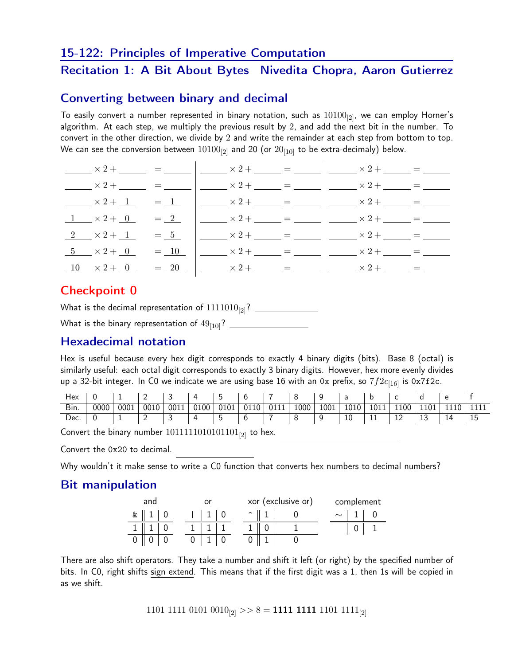### 15-122: Principles of Imperative Computation

# Recitation 1: A Bit About Bytes Nivedita Chopra, Aaron Gutierrez

#### Converting between binary and decimal

To easily convert a number represented in binary notation, such as  $10100_{[2]}$ , we can employ Horner's algorithm. At each step, we multiply the previous result by 2, and add the next bit in the number. To convert in the other direction, we divide by 2 and write the remainder at each step from bottom to top. We can see the conversion between  $10100_{[2]}$  and 20 (or  $20_{[10]}$  to be extra-decimaly) below.

|                                                         |  | $\frac{1}{2}$ x 2 + $\frac{1}{2}$ = $\frac{1}{2}$ = $\frac{1}{2}$ x 2 + $\frac{1}{2}$ = $\frac{1}{2}$ = $\frac{1}{2}$ x 2 + $\frac{1}{2}$ = $\frac{1}{2}$                      |  |
|---------------------------------------------------------|--|--------------------------------------------------------------------------------------------------------------------------------------------------------------------------------|--|
|                                                         |  | $\frac{1}{2}$ $\times$ 2 + $\frac{1}{2}$ = $\frac{1}{2}$ = $\frac{1}{2}$ $\times$ 2 + $\frac{1}{2}$ = $\frac{1}{2}$ = $\frac{1}{2}$ $\times$ 2 + $\frac{1}{2}$ = $\frac{1}{2}$ |  |
|                                                         |  | $x^2 + 1 = 1$ $y = 1$ $x^2 + 1 = 1$                                                                                                                                            |  |
| $\begin{array}{ccc} 1 & \times 2 + 0 & = 2 \end{array}$ |  | $\frac{1}{2}$ $\times$ 2 + $\frac{1}{2}$ = $\frac{1}{2}$ $\times$ 2 + $\frac{1}{2}$ = $\frac{1}{2}$                                                                            |  |
|                                                         |  | $2 \times 2 + 1 = 5$ $\left  \frac{\phantom{0}}{\phantom{0}} \right  \times 2 + \frac{\phantom{0}}{\phantom{0}} = \frac{1}{2}$                                                 |  |
| $5 \times 2 + 0 = 10$                                   |  | $\begin{array}{c c c c c c c c} \hline & & \times 2+ & \hline & = & \hline \end{array}$                                                                                        |  |
| $10 \times 2 + 0 = 20$                                  |  |                                                                                                                                                                                |  |

### Checkpoint 0

What is the decimal representation of 1111010[2]? What is the binary representation of 49[10]?

### Hexadecimal notation

Hex is useful because every hex digit corresponds to exactly 4 binary digits (bits). Base 8 (octal) is similarly useful: each octal digit corresponds to exactly 3 binary digits. However, hex more evenly divides up a 32-bit integer. In C0 we indicate we are using base 16 with an 0x prefix, so  $7f2c_{[16]}$  is 0x7f2c.

| Hex $\parallel 0$ $\parallel 1$ $\parallel 2$ $\parallel 3$ $\parallel 4$ $\parallel 5$ $\parallel 6$ $\parallel 7$ $\parallel 8$ $\parallel 9$ $\parallel a$ $\parallel b$ $\parallel c$ $\parallel d$ $\parallel e$ $\parallel f$ |                                                                                      |  |  |  |  |  |  |  |  |
|-------------------------------------------------------------------------------------------------------------------------------------------------------------------------------------------------------------------------------------|--------------------------------------------------------------------------------------|--|--|--|--|--|--|--|--|
|                                                                                                                                                                                                                                     | Bin. 0000 0001 0010 0011 0100 0101 0110 0111 1000 1001 1010 1011 1100 1101 1110 1111 |  |  |  |  |  |  |  |  |
| Dec. 0 1 2 3 4 5 6 7 8 9 10 11 12 13 14 15                                                                                                                                                                                          |                                                                                      |  |  |  |  |  |  |  |  |

Convert the binary number  $1011111010101101_{[2]}$  to hex.

Convert the 0x20 to decimal.

Why wouldn't it make sense to write a C0 function that converts hex numbers to decimal numbers?

### Bit manipulation

| and |  |  | or |  |  |  | xor (exclusive or)  | complement |  |  |  |
|-----|--|--|----|--|--|--|---------------------|------------|--|--|--|
| &   |  |  |    |  |  |  | $\hat{\phantom{a}}$ |            |  |  |  |
|     |  |  |    |  |  |  |                     |            |  |  |  |
|     |  |  |    |  |  |  |                     |            |  |  |  |

There are also shift operators. They take a number and shift it left (or right) by the specified number of bits. In C0, right shifts sign extend. This means that if the first digit was a 1, then 1s will be copied in as we shift.

1101 1111 0101 0010<sub>[2]</sub> >> 8 = **1111 1111** 1101 1111<sub>[2]</sub>